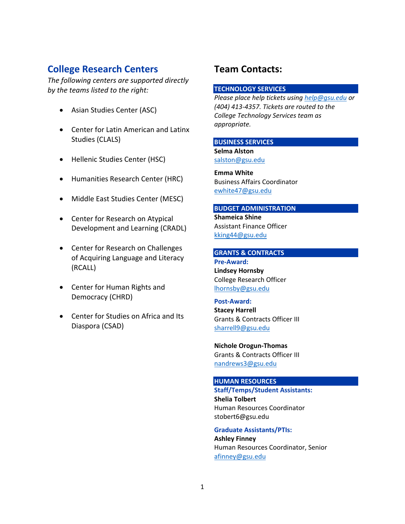# **College Research Centers**

*The following centers are supported directly by the teams listed to the right:*

- Asian Studies Center (ASC)
- Center for Latin American and Latinx Studies (CLALS)
- Hellenic Studies Center (HSC)
- Humanities Research Center (HRC)
- Middle East Studies Center (MESC)
- Center for Research on Atypical Development and Learning (CRADL)
- Center for Research on Challenges of Acquiring Language and Literacy (RCALL)
- Center for Human Rights and Democracy (CHRD)
- Center for Studies on Africa and Its Diaspora (CSAD)

# **Team Contacts:**

### **TECHNOLOGY SERVICES**

*Please place help tickets usin[g help@gsu.edu](mailto:help@gsu.edu) or (404) 413-4357. Tickets are routed to the College Technology Services team as appropriate.*

### **BUSINESS SERVICES**

**Selma Alston** [salston@gsu.edu](mailto:salston@gsu.edu)

**Emma White** Business Affairs Coordinator [ewhite47@gsu.edu](mailto:ewhite47@gsu.edu)

#### **BUDGET ADMINISTRATION**

**Shameica Shine** Assistant Finance Officer [kking44@gsu.edu](mailto:kking44@gsu.edu)

#### **GRANTS & CONTRACTS**

**Pre-Award: Lindsey Hornsby** College Research Officer [lhornsby@gsu.edu](mailto:lhornsby@gsu.edu)

#### **Post-Award:**

**Stacey Harrell** Grants & Contracts Officer III [sharrell9@gsu.edu](mailto:sharrell9@gsu.edu)

**Nichole Orogun-Thomas** Grants & Contracts Officer III [nandrews3@gsu.edu](mailto:nandrews3@gsu.edu)

#### **HUMAN RESOURCES**

**Staff/Temps/Student Assistants: Shelia Tolbert** Human Resources Coordinator stobert6@gsu.edu

**Graduate Assistants/PTIs: Ashley Finney** Human Resources Coordinator, Senior [afinney@gsu.edu](mailto:afinney@gsu.edu)